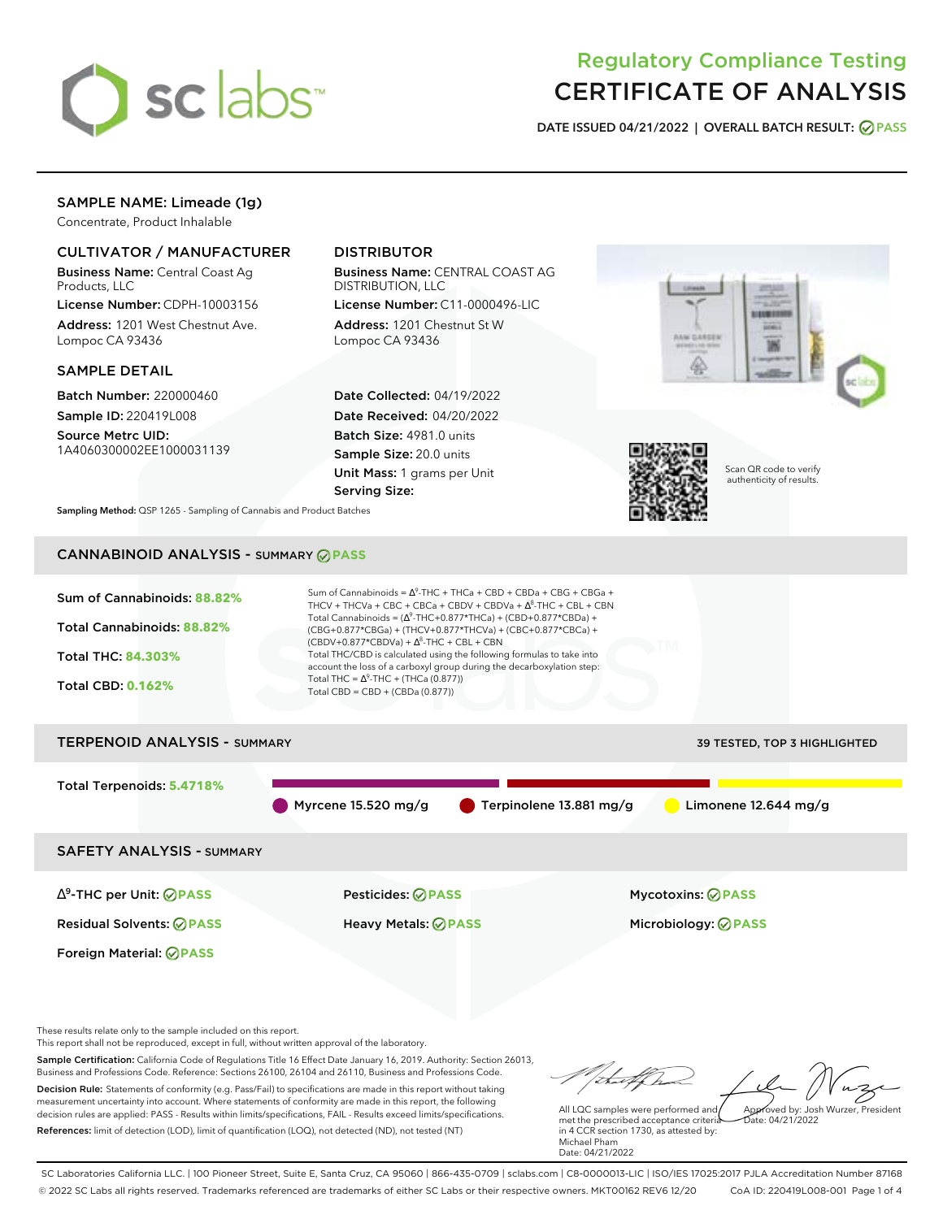

# Regulatory Compliance Testing CERTIFICATE OF ANALYSIS

**DATE ISSUED 04/21/2022 | OVERALL BATCH RESULT: PASS**

## SAMPLE NAME: Limeade (1g)

Concentrate, Product Inhalable

## CULTIVATOR / MANUFACTURER

Business Name: Central Coast Ag Products, LLC

License Number: CDPH-10003156 Address: 1201 West Chestnut Ave. Lompoc CA 93436

## SAMPLE DETAIL

Batch Number: 220000460 Sample ID: 220419L008

Source Metrc UID: 1A4060300002EE1000031139

# DISTRIBUTOR

Business Name: CENTRAL COAST AG DISTRIBUTION, LLC

License Number: C11-0000496-LIC Address: 1201 Chestnut St W Lompoc CA 93436

Date Collected: 04/19/2022 Date Received: 04/20/2022 Batch Size: 4981.0 units Sample Size: 20.0 units Unit Mass: 1 grams per Unit Serving Size:





Scan QR code to verify authenticity of results.

**Sampling Method:** QSP 1265 - Sampling of Cannabis and Product Batches

# CANNABINOID ANALYSIS - SUMMARY **PASS**



Total Terpenoids: **5.4718%**

Myrcene 15.520 mg/g **C** Terpinolene 13.881 mg/g Limonene 12.644 mg/g

SAFETY ANALYSIS - SUMMARY

∆ 9 -THC per Unit: **PASS** Pesticides: **PASS** Mycotoxins: **PASS**

Foreign Material: **PASS**

Residual Solvents: **PASS** Heavy Metals: **PASS** Microbiology: **PASS**

These results relate only to the sample included on this report.

This report shall not be reproduced, except in full, without written approval of the laboratory.

Sample Certification: California Code of Regulations Title 16 Effect Date January 16, 2019. Authority: Section 26013, Business and Professions Code. Reference: Sections 26100, 26104 and 26110, Business and Professions Code. Decision Rule: Statements of conformity (e.g. Pass/Fail) to specifications are made in this report without taking measurement uncertainty into account. Where statements of conformity are made in this report, the following

References: limit of detection (LOD), limit of quantification (LOQ), not detected (ND), not tested (NT)

decision rules are applied: PASS - Results within limits/specifications, FAIL - Results exceed limits/specifications.

Approved by: Josh Wurzer, President

 $hat: 04/21/2022$ 

All LQC samples were performed and met the prescribed acceptance criteria in 4 CCR section 1730, as attested by: Michael Pham Date: 04/21/2022

SC Laboratories California LLC. | 100 Pioneer Street, Suite E, Santa Cruz, CA 95060 | 866-435-0709 | sclabs.com | C8-0000013-LIC | ISO/IES 17025:2017 PJLA Accreditation Number 87168 © 2022 SC Labs all rights reserved. Trademarks referenced are trademarks of either SC Labs or their respective owners. MKT00162 REV6 12/20 CoA ID: 220419L008-001 Page 1 of 4